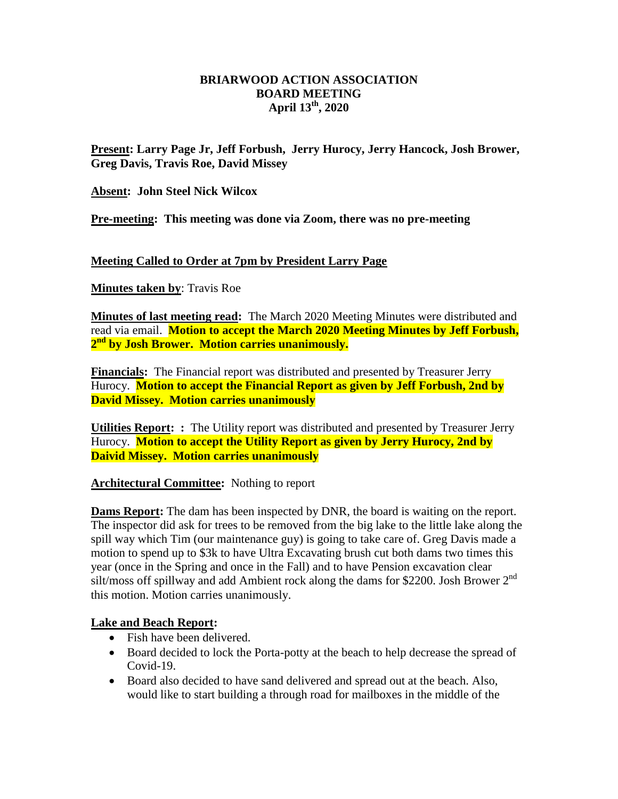## **BRIARWOOD ACTION ASSOCIATION BOARD MEETING April 13th, 2020**

**Present: Larry Page Jr, Jeff Forbush, Jerry Hurocy, Jerry Hancock, Josh Brower, Greg Davis, Travis Roe, David Missey**

**Absent: John Steel Nick Wilcox**

**Pre-meeting: This meeting was done via Zoom, there was no pre-meeting** 

## **Meeting Called to Order at 7pm by President Larry Page**

**Minutes taken by**: Travis Roe

**Minutes of last meeting read:** The March 2020 Meeting Minutes were distributed and read via email. **Motion to accept the March 2020 Meeting Minutes by Jeff Forbush, 2 nd by Josh Brower. Motion carries unanimously.**

**Financials:** The Financial report was distributed and presented by Treasurer Jerry Hurocy. **Motion to accept the Financial Report as given by Jeff Forbush, 2nd by David Missey. Motion carries unanimously** 

**Utilities Report: :** The Utility report was distributed and presented by Treasurer Jerry Hurocy. **Motion to accept the Utility Report as given by Jerry Hurocy, 2nd by Daivid Missey. Motion carries unanimously** 

**Architectural Committee:** Nothing to report

**Dams Report:** The dam has been inspected by DNR, the board is waiting on the report. The inspector did ask for trees to be removed from the big lake to the little lake along the spill way which Tim (our maintenance guy) is going to take care of. Greg Davis made a motion to spend up to \$3k to have Ultra Excavating brush cut both dams two times this year (once in the Spring and once in the Fall) and to have Pension excavation clear silt/moss off spillway and add Ambient rock along the dams for \$2200. Josh Brower 2<sup>nd</sup> this motion. Motion carries unanimously.

## **Lake and Beach Report:**

- Fish have been delivered.
- Board decided to lock the Porta-potty at the beach to help decrease the spread of Covid-19.
- Board also decided to have sand delivered and spread out at the beach. Also, would like to start building a through road for mailboxes in the middle of the